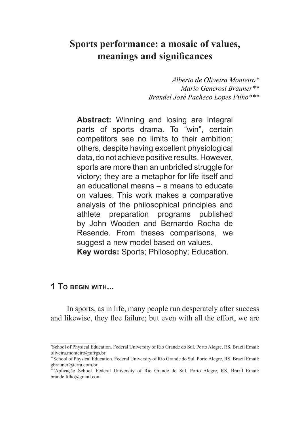# **Sports performance: a mosaic of values, meanings and significances**

*Alberto de Oliveira Monteiro\* Mario Generosi Brauner\*\* Brandel José Pacheco Lopes Filho\*\*\**

**Abstract:** Winning and losing are integral parts of sports drama. To "win", certain competitors see no limits to their ambition; others, despite having excellent physiological data, do not achieve positive results. However, sports are more than an unbridled struggle for victory; they are a metaphor for life itself and an educational means – a means to educate on values. This work makes a comparative analysis of the philosophical principles and athlete preparation programs published by John Wooden and Bernardo Rocha de Resende. From theses comparisons, we suggest a new model based on values. **Key words:** Sports; Philosophy; Education.

# **1 To begin with...**

 $\frac{1}{2}$  ,  $\frac{1}{2}$  ,  $\frac{1}{2}$  ,  $\frac{1}{2}$  ,  $\frac{1}{2}$  ,  $\frac{1}{2}$  ,  $\frac{1}{2}$  ,  $\frac{1}{2}$  ,  $\frac{1}{2}$ 

In sports, as in life, many people run desperately after success and likewise, they flee failure; but even with all the effort, we are

<sup>\*</sup> School of Physical Education. Federal University of Rio Grande do Sul. Porto Alegre, RS. Brazil Email: oliveira.monteiro@ufrgs.br

<sup>\*\*</sup>School of Physical Education. Federal University of Rio Grande do Sul. Porto Alegre, RS. Brazil Email: gbrauner@terra.com.br

<sup>\*\*\*</sup>Aplicação School. Federal University of Rio Grande do Sul. Porto Alegre, RS. Brazil Email: brandelfilho@gmail.com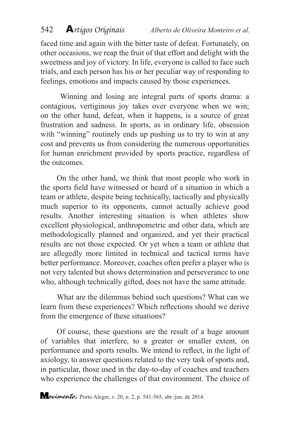faced time and again with the bitter taste of defeat. Fortunately, on other occasions, we reap the fruit of that effort and delight with the sweetness and joy of victory. In life, everyone is called to face such trials, and each person has his or her peculiar way of responding to feelings, emotions and impacts caused by those experiences.

 Winning and losing are integral parts of sports drama: a contagious, vertiginous joy takes over everyone when we win; on the other hand, defeat, when it happens, is a source of great frustration and sadness. In sports, as in ordinary life, obsession with "winning" routinely ends up pushing us to try to win at any cost and prevents us from considering the numerous opportunities for human enrichment provided by sports practice, regardless of the outcomes.

On the other hand, we think that most people who work in the sports field have witnessed or heard of a situation in which a team or athlete, despite being technically, tactically and physically much superior to its opponents, cannot actually achieve good results. Another interesting situation is when athletes show excellent physiological, anthropometric and other data, which are methodologically planned and organized, and yet their practical results are not those expected. Or yet when a team or athlete that are allegedly more limited in technical and tactical terms have better performance. Moreover, coaches often prefer a player who is not very talented but shows determination and perseverance to one who, although technically gifted, does not have the same attitude.

What are the dilemmas behind such questions? What can we learn from these experiences? Which reflections should we derive from the emergence of these situations?

Of course, these questions are the result of a huge amount of variables that interfere, to a greater or smaller extent, on performance and sports results. We intend to reflect, in the light of axiology, to answer questions related to the very task of sports and, in particular, those used in the day-to-day of coaches and teachers who experience the challenges of that environment. The choice of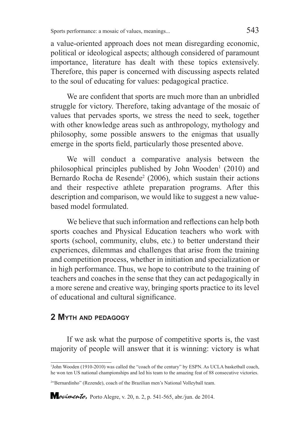a value-oriented approach does not mean disregarding economic, political or ideological aspects; although considered of paramount importance, literature has dealt with these topics extensively. Therefore, this paper is concerned with discussing aspects related to the soul of educating for values: pedagogical practice.

We are confident that sports are much more than an unbridled struggle for victory. Therefore, taking advantage of the mosaic of values that pervades sports, we stress the need to seek, together with other knowledge areas such as anthropology, mythology and philosophy, some possible answers to the enigmas that usually emerge in the sports field, particularly those presented above.

We will conduct a comparative analysis between the philosophical principles published by John Wooden<sup>1</sup> (2010) and Bernardo Rocha de Resende<sup>2</sup> (2006), which sustain their actions and their respective athlete preparation programs. After this description and comparison, we would like to suggest a new valuebased model formulated.

We believe that such information and reflections can help both sports coaches and Physical Education teachers who work with sports (school, community, clubs, etc.) to better understand their experiences, dilemmas and challenges that arise from the training and competition process, whether in initiation and specialization or in high performance. Thus, we hope to contribute to the training of teachers and coaches in the sense that they can act pedagogically in a more serene and creative way, bringing sports practice to its level of educational and cultural significance.

# **2 Myth and pedagogy**

If we ask what the purpose of competitive sports is, the vast majority of people will answer that it is winning: victory is what

<sup>1</sup> John Wooden (1910-2010) was called the "coach of the century" by ESPN. As UCLA basketball coach, he won ten US national championships and led his team to the amazing feat of 88 consecutive victories.

<sup>2</sup> "Bernardinho" (Rezende), coach of the Brazilian men's National Volleyball team.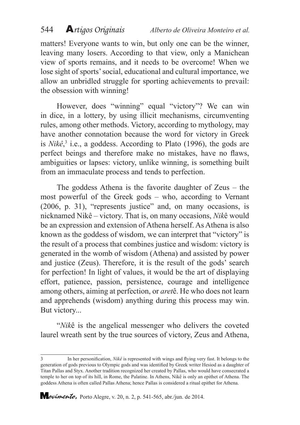matters! Everyone wants to win, but only one can be the winner, leaving many losers. According to that view, only a Manichean view of sports remains, and it needs to be overcome! When we lose sight of sports' social, educational and cultural importance, we allow an unbridled struggle for sporting achievements to prevail: the obsession with winning!

However, does "winning" equal "victory"? We can win in dice, in a lottery, by using illicit mechanisms, circumventing rules, among other methods. Victory, according to mythology, may have another connotation because the word for victory in Greek is  $Nik\hat{e}$ <sup>3</sup>, i.e., a goddess. According to Plato (1996), the gods are perfect beings and therefore make no mistakes, have no flaws, ambiguities or lapses: victory, unlike winning, is something built from an immaculate process and tends to perfection.

The goddess Athena is the favorite daughter of Zeus – the most powerful of the Greek gods – who, according to Vernant (2006, p. 31), "represents justice" and, on many occasions, is nicknamed Nikê – victory. That is, on many occasions, *Nik*ê would be an expression and extension of Athena herself. As Athena is also known as the goddess of wisdom, we can interpret that "victory" is the result of a process that combines justice and wisdom: victory is generated in the womb of wisdom (Athena) and assisted by power and justice (Zeus). Therefore, it is the result of the gods' search for perfection! In light of values, it would be the art of displaying effort, patience, passion, persistence, courage and intelligence among others, aiming at perfection, or *aret*ê. He who does not learn and apprehends (wisdom) anything during this process may win. But victory...

"*Nik*ê is the angelical messenger who delivers the coveted laurel wreath sent by the true sources of victory, Zeus and Athena,

<sup>3</sup> In her personification, *Nikê* is represented with wings and flying very fast. It belongs to the generation of gods previous to Olympic gods and was identified by Greek writer Hesiod as a daughter of Titan Pallas and Styx. Another tradition recognized her created by Pallas, who would have consecrated a temple to her on top of its hill, in Rome, the Palatine. In Athens, Nikê is only an epithet of Athena. The goddess Athena is often called Pallas Athena; hence Pallas is considered a ritual epithet for Athena.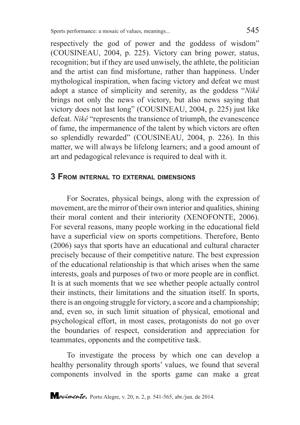respectively the god of power and the goddess of wisdom" (COUSINEAU, 2004, p. 225). Victory can bring power, status, recognition; but if they are used unwisely, the athlete, the politician and the artist can find misfortune, rather than happiness. Under mythological inspiration, when facing victory and defeat we must adopt a stance of simplicity and serenity, as the goddess "*Nikê* brings not only the news of victory, but also news saying that victory does not last long" (COUSINEAU, 2004, p. 225) just like defeat. *Nikê* "represents the transience of triumph, the evanescence of fame, the impermanence of the talent by which victors are often so splendidly rewarded" (COUSINEAU, 2004, p. 226). In this matter, we will always be lifelong learners; and a good amount of art and pedagogical relevance is required to deal with it.

#### **3 From internal to external dimensions**

For Socrates, physical beings, along with the expression of movement, are the mirror of their own interior and qualities, shining their moral content and their interiority (XENOFONTE, 2006). For several reasons, many people working in the educational field have a superficial view on sports competitions. Therefore, Bento (2006) says that sports have an educational and cultural character precisely because of their competitive nature. The best expression of the educational relationship is that which arises when the same interests, goals and purposes of two or more people are in conflict. It is at such moments that we see whether people actually control their instincts, their limitations and the situation itself. In sports, there is an ongoing struggle for victory, a score and a championship; and, even so, in such limit situation of physical, emotional and psychological effort, in most cases, protagonists do not go over the boundaries of respect, consideration and appreciation for teammates, opponents and the competitive task.

To investigate the process by which one can develop a healthy personality through sports' values, we found that several components involved in the sports game can make a great

*<i><u>ovimento*</u>, Porto Alegre, v. 20, n. 2, p. 541-565, abr./jun. de 2014.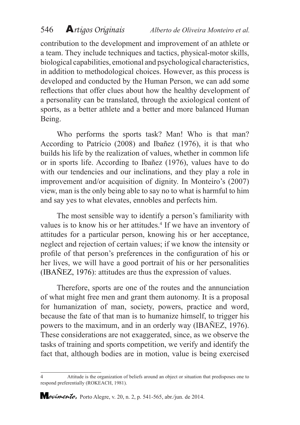contribution to the development and improvement of an athlete or a team. They include techniques and tactics, physical-motor skills, biological capabilities, emotional and psychological characteristics, in addition to methodological choices. However, as this process is developed and conducted by the Human Person, we can add some reflections that offer clues about how the healthy development of a personality can be translated, through the axiological content of sports, as a better athlete and a better and more balanced Human Being.

Who performs the sports task? Man! Who is that man? According to Patrício (2008) and Ibañez (1976), it is that who builds his life by the realization of values, whether in common life or in sports life. According to Ibañez (1976), values have to do with our tendencies and our inclinations, and they play a role in improvement and/or acquisition of dignity. In Monteiro's (2007) view, man is the only being able to say no to what is harmful to him and say yes to what elevates, ennobles and perfects him.

The most sensible way to identify a person's familiarity with values is to know his or her attitudes.<sup>4</sup> If we have an inventory of attitudes for a particular person, knowing his or her acceptance, neglect and rejection of certain values; if we know the intensity or profile of that person's preferences in the configuration of his or her lives, we will have a good portrait of his or her personalities (IBAÑEZ, 1976): attitudes are thus the expression of values.

Therefore, sports are one of the routes and the annunciation of what might free men and grant them autonomy. It is a proposal for humanization of man, society, powers, practice and word, because the fate of that man is to humanize himself, to trigger his powers to the maximum, and in an orderly way (IBAÑEZ, 1976). These considerations are not exaggerated, since, as we observe the tasks of training and sports competition, we verify and identify the fact that, although bodies are in motion, value is being exercised

<sup>4</sup> Attitude is the organization of beliefs around an object or situation that predisposes one to respond preferentially (ROKEACH, 1981).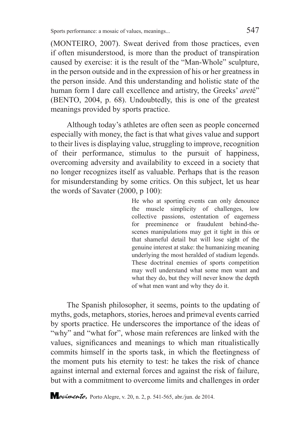(MONTEIRO, 2007). Sweat derived from those practices, even if often misunderstood, is more than the product of transpiration caused by exercise: it is the result of the "Man-Whole" sculpture, in the person outside and in the expression of his or her greatness in the person inside. And this understanding and holistic state of the human form I dare call excellence and artistry, the Greeks' *aret*é" (BENTO, 2004, p. 68). Undoubtedly, this is one of the greatest meanings provided by sports practice.

Although today's athletes are often seen as people concerned especially with money, the fact is that what gives value and support to their lives is displaying value, struggling to improve, recognition of their performance, stimulus to the pursuit of happiness, overcoming adversity and availability to exceed in a society that no longer recognizes itself as valuable. Perhaps that is the reason for misunderstanding by some critics. On this subject, let us hear the words of Savater (2000, p 100):

> He who at sporting events can only denounce the muscle simplicity of challenges, low collective passions, ostentation of eagerness for preeminence or fraudulent behind-thescenes manipulations may get it tight in this or that shameful detail but will lose sight of the genuine interest at stake: the humanizing meaning underlying the most heralded of stadium legends. These doctrinal enemies of sports competition may well understand what some men want and what they do, but they will never know the depth of what men want and why they do it.

The Spanish philosopher, it seems, points to the updating of myths, gods, metaphors, stories, heroes and primeval events carried by sports practice. He underscores the importance of the ideas of "why" and "what for", whose main references are linked with the values, significances and meanings to which man ritualistically commits himself in the sports task, in which the fleetingness of the moment puts his eternity to test: he takes the risk of chance against internal and external forces and against the risk of failure, but with a commitment to overcome limits and challenges in order

*<i><u>ovimento*</u>, Porto Alegre, v. 20, n. 2, p. 541-565, abr./jun. de 2014.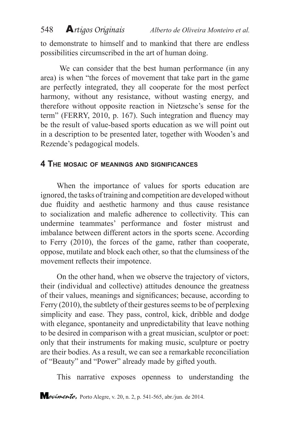to demonstrate to himself and to mankind that there are endless possibilities circumscribed in the art of human doing.

We can consider that the best human performance (in any area) is when "the forces of movement that take part in the game are perfectly integrated, they all cooperate for the most perfect harmony, without any resistance, without wasting energy, and therefore without opposite reaction in Nietzsche's sense for the term" (FERRY, 2010, p. 167). Such integration and fluency may be the result of value-based sports education as we will point out in a description to be presented later, together with Wooden's and Rezende's pedagogical models.

#### **4 The mosaic of meanings and significances**

When the importance of values for sports education are ignored, the tasks of training and competition are developed without due fluidity and aesthetic harmony and thus cause resistance to socialization and malefic adherence to collectivity. This can undermine teammates' performance and foster mistrust and imbalance between different actors in the sports scene. According to Ferry (2010), the forces of the game, rather than cooperate, oppose, mutilate and block each other, so that the clumsiness of the movement reflects their impotence.

On the other hand, when we observe the trajectory of victors, their (individual and collective) attitudes denounce the greatness of their values, meanings and significances; because, according to Ferry (2010), the subtlety of their gestures seems to be of perplexing simplicity and ease. They pass, control, kick, dribble and dodge with elegance, spontaneity and unpredictability that leave nothing to be desired in comparison with a great musician, sculptor or poet: only that their instruments for making music, sculpture or poetry are their bodies. As a result, we can see a remarkable reconciliation of "Beauty" and "Power" already made by gifted youth.

This narrative exposes openness to understanding the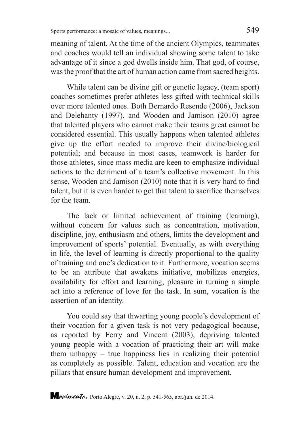meaning of talent. At the time of the ancient Olympics, teammates and coaches would tell an individual showing some talent to take advantage of it since a god dwells inside him. That god, of course, was the proof that the art of human action came from sacred heights.

While talent can be divine gift or genetic legacy, (team sport) coaches sometimes prefer athletes less gifted with technical skills over more talented ones. Both Bernardo Resende (2006), Jackson and Delehanty (1997), and Wooden and Jamison (2010) agree that talented players who cannot make their teams great cannot be considered essential. This usually happens when talented athletes give up the effort needed to improve their divine/biological potential; and because in most cases, teamwork is harder for those athletes, since mass media are keen to emphasize individual actions to the detriment of a team's collective movement. In this sense, Wooden and Jamison (2010) note that it is very hard to find talent, but it is even harder to get that talent to sacrifice themselves for the team.

The lack or limited achievement of training (learning), without concern for values such as concentration, motivation, discipline, joy, enthusiasm and others, limits the development and improvement of sports' potential. Eventually, as with everything in life, the level of learning is directly proportional to the quality of training and one's dedication to it. Furthermore, vocation seems to be an attribute that awakens initiative, mobilizes energies, availability for effort and learning, pleasure in turning a simple act into a reference of love for the task. In sum, vocation is the assertion of an identity.

You could say that thwarting young people's development of their vocation for a given task is not very pedagogical because, as reported by Ferry and Vincent (2003), depriving talented young people with a vocation of practicing their art will make them unhappy – true happiness lies in realizing their potential as completely as possible. Talent, education and vocation are the pillars that ensure human development and improvement.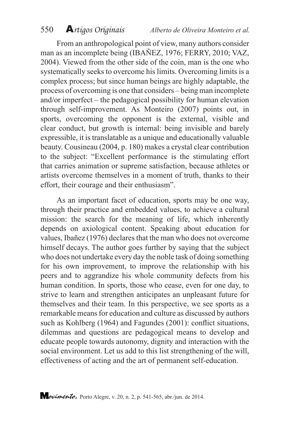550 A*rtigos Originais Alberto de Oliveira Monteiro et al.*

From an anthropological point of view, many authors consider man as an incomplete being (IBAÑEZ, 1976; FERRY, 2010; VAZ, 2004). Viewed from the other side of the coin, man is the one who systematically seeks to overcome his limits. Overcoming limits is a complex process; but since human beings are highly adaptable, the process of overcoming is one that considers – being man incomplete and/or imperfect – the pedagogical possibility for human elevation through self-improvement. As Monteiro (2007) points out, in sports, overcoming the opponent is the external, visible and clear conduct, but growth is internal: being invisible and barely expressible, it is translatable as a unique and educationally valuable beauty. Cousineau (2004, p. 180) makes a crystal clear contribution to the subject: "Excellent performance is the stimulating effort that carries animation or supreme satisfaction, because athletes or artists overcome themselves in a moment of truth, thanks to their effort, their courage and their enthusiasm".

As an important facet of education, sports may be one way, through their practice and embedded values, to achieve a cultural mission: the search for the meaning of life, which inherently depends on axiological content. Speaking about education for values, Ibañez (1976) declares that the man who does not overcome himself decays. The author goes further by saying that the subject who does not undertake every day the noble task of doing something for his own improvement, to improve the relationship with his peers and to aggrandize his whole community defects from his human condition. In sports, those who cease, even for one day, to strive to learn and strengthen anticipates an unpleasant future for themselves and their team. In this perspective, we see sports as a remarkable means for education and culture as discussed by authors such as Kohlberg (1964) and Fagundes (2001): conflict situations, dilemmas and questions are pedagogical means to develop and educate people towards autonomy, dignity and interaction with the social environment. Let us add to this list strengthening of the will, effectiveness of acting and the art of permanent self-education.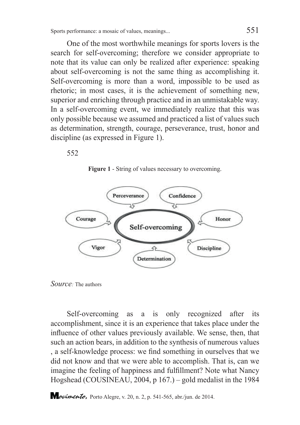One of the most worthwhile meanings for sports lovers is the search for self-overcoming; therefore we consider appropriate to note that its value can only be realized after experience: speaking about self-overcoming is not the same thing as accomplishing it. Self-overcoming is more than a word, impossible to be used as rhetoric; in most cases, it is the achievement of something new, superior and enriching through practice and in an unmistakable way. In a self-overcoming event, we immediately realize that this was only possible because we assumed and practiced a list of values such as determination, strength, courage, perseverance, trust, honor and discipline (as expressed in Figure 1).

552

**Figure 1** - String of values necessary to overcoming.



*Source:* The authors

Self-overcoming as a is only recognized after its accomplishment, since it is an experience that takes place under the influence of other values previously available. We sense, then, that such an action bears, in addition to the synthesis of numerous values , a self-knowledge process: we find something in ourselves that we did not know and that we were able to accomplish. That is, can we imagine the feeling of happiness and fulfillment? Note what Nancy Hogshead (COUSINEAU, 2004, p 167.) – gold medalist in the 1984

*Lovimento*, Porto Alegre, v. 20, n. 2, p. 541-565, abr./jun. de 2014.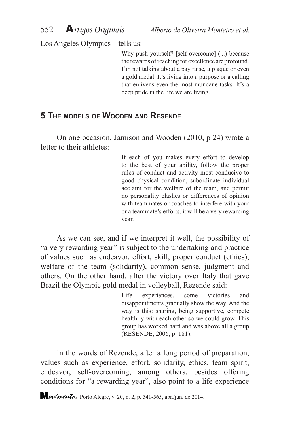552 A*rtigos Originais Alberto de Oliveira Monteiro et al.*

Los Angeles Olympics – tells us:

Why push yourself? [self-overcome] (...) because the rewards of reaching for excellence are profound. I'm not talking about a pay raise, a plaque or even a gold medal. It's living into a purpose or a calling that enlivens even the most mundane tasks. It's a deep pride in the life we are living.

# **5 The models of Wooden and Resende**

On one occasion, Jamison and Wooden (2010, p 24) wrote a letter to their athletes:

> If each of you makes every effort to develop to the best of your ability, follow the proper rules of conduct and activity most conducive to good physical condition, subordinate individual acclaim for the welfare of the team, and permit no personality clashes or differences of opinion with teammates or coaches to interfere with your or a teammate's efforts, it will be a very rewarding year.

As we can see, and if we interpret it well, the possibility of "a very rewarding year" is subject to the undertaking and practice of values such as endeavor, effort, skill, proper conduct (ethics), welfare of the team (solidarity), common sense, judgment and others. On the other hand, after the victory over Italy that gave Brazil the Olympic gold medal in volleyball, Rezende said:

> Life experiences, some victories and disappointments gradually show the way. And the way is this: sharing, being supportive, compete healthily with each other so we could grow. This group has worked hard and was above all a group (RESENDE, 2006, p. 181).

In the words of Rezende, after a long period of preparation, values such as experience, effort, solidarity, ethics, team spirit, endeavor, self-overcoming, among others, besides offering conditions for "a rewarding year", also point to a life experience

*Lovimento*, Porto Alegre, v. 20, n. 2, p. 541-565, abr./jun. de 2014.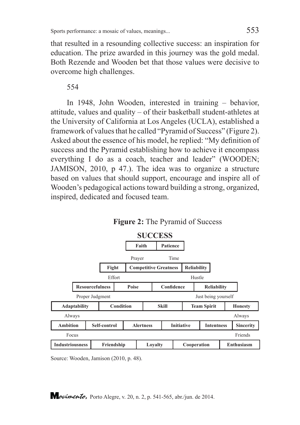that resulted in a resounding collective success: an inspiration for education. The prize awarded in this journey was the gold medal. Both Rezende and Wooden bet that those values were decisive to overcome high challenges.

554

In 1948, John Wooden, interested in training – behavior, attitude, values and quality – of their basketball student-athletes at the University of California at Los Angeles (UCLA), established a framework of values that he called "Pyramid of Success" (Figure 2). Asked about the essence of his model, he replied: "My definition of success and the Pyramid establishing how to achieve it encompass everything I do as a coach, teacher and leader" (WOODEN; JAMISON, 2010, p 47.). The idea was to organize a structure based on values that should support, encourage and inspire all of Wooden's pedagogical actions toward building a strong, organized, inspired, dedicated and focused team.



**Figure 2:** The Pyramid of Success

Source: Wooden, Jamison (2010, p. 48).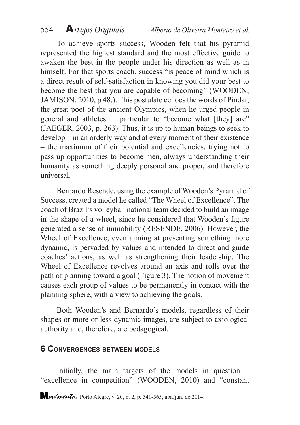To achieve sports success, Wooden felt that his pyramid represented the highest standard and the most effective guide to awaken the best in the people under his direction as well as in himself. For that sports coach, success "is peace of mind which is a direct result of self-satisfaction in knowing you did your best to become the best that you are capable of becoming" (WOODEN; JAMISON, 2010, p 48.). This postulate echoes the words of Pindar, the great poet of the ancient Olympics, when he urged people in general and athletes in particular to "become what [they] are" (JAEGER, 2003, p. 263). Thus, it is up to human beings to seek to develop – in an orderly way and at every moment of their existence – the maximum of their potential and excellencies, trying not to pass up opportunities to become men, always understanding their humanity as something deeply personal and proper, and therefore universal.

Bernardo Resende, using the example of Wooden's Pyramid of Success, created a model he called "The Wheel of Excellence". The coach of Brazil's volleyball national team decided to build an image in the shape of a wheel, since he considered that Wooden's figure generated a sense of immobility (RESENDE, 2006). However, the Wheel of Excellence, even aiming at presenting something more dynamic, is pervaded by values and intended to direct and guide coaches' actions, as well as strengthening their leadership. The Wheel of Excellence revolves around an axis and rolls over the path of planning toward a goal (Figure 3). The notion of movement causes each group of values to be permanently in contact with the planning sphere, with a view to achieving the goals.

Both Wooden's and Bernardo's models, regardless of their shapes or more or less dynamic images, are subject to axiological authority and, therefore, are pedagogical.

#### **6 Convergences between models**

Initially, the main targets of the models in question – "excellence in competition" (WOODEN, 2010) and "constant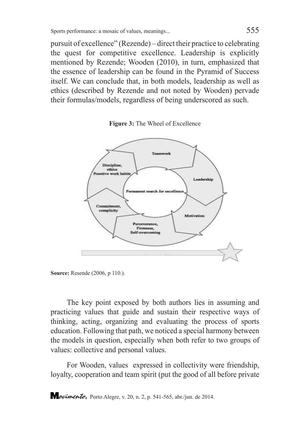pursuit of excellence" (Rezende) – direct their practice to celebrating the quest for competitive excellence. Leadership is explicitly mentioned by Rezende; Wooden (2010), in turn, emphasized that the essence of leadership can be found in the Pyramid of Success itself. We can conclude that, in both models, leadership as well as ethics (described by Rezende and not noted by Wooden) pervade their formulas/models, regardless of being underscored as such.





**Source:** Resende (2006, p 110.).

The key point exposed by both authors lies in assuming and practicing values that guide and sustain their respective ways of thinking, acting, organizing and evaluating the process of sports education. Following that path, we noticed a special harmony between the models in question, especially when both refer to two groups of values: collective and personal values.

For Wooden, values expressed in collectivity were friendship, loyalty, cooperation and team spirit (put the good of all before private

*<i><u>ovimento*</u>, Porto Alegre, v. 20, n. 2, p. 541-565, abr./jun. de 2014.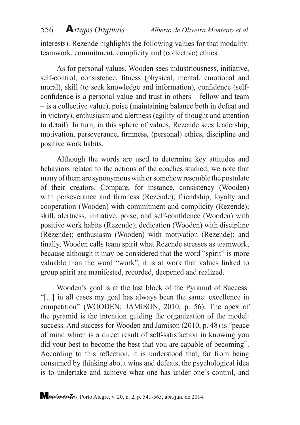interests). Rezende highlights the following values for that modality: teamwork, commitment, complicity and (collective) ethics.

As for personal values, Wooden sees industriousness, initiative, self-control, consistence, fitness (physical, mental, emotional and moral), skill (to seek knowledge and information), confidence (selfconfidence is a personal value and trust in others – fellow and team – is a collective value), poise (maintaining balance both in defeat and in victory), enthusiasm and alertness (agility of thought and attention to detail). In turn, in this sphere of values, Rezende sees leadership, motivation, perseverance, firmness, (personal) ethics, discipline and positive work habits.

Although the words are used to determine key attitudes and behaviors related to the actions of the coaches studied, we note that many of them are synonymous with or somehow resemble the postulate of their creators. Compare, for instance, consistency (Wooden) with perseverance and firmness (Rezende); friendship, loyalty and cooperation (Wooden) with commitment and complicity (Rezende); skill, alertness, initiative, poise, and self-confidence (Wooden) with positive work habits (Rezende); dedication (Wooden) with discipline (Rezende); enthusiasm (Wooden) with motivation (Rezende); and finally, Wooden calls team spirit what Rezende stresses as teamwork, because although it may be considered that the word "spirit" is more valuable than the word "work", it is at work that values linked to group spirit are manifested, recorded, deepened and realized.

Wooden's goal is at the last block of the Pyramid of Success: "[...] in all cases my goal has always been the same: excellence in competition" (WOODEN; JAMISON, 2010, p. 56). The apex of the pyramid is the intention guiding the organization of the model: success. And success for Wooden and Jamison (2010, p. 48) is "peace of mind which is a direct result of self-satisfaction in knowing you did your best to become the best that you are capable of becoming". According to this reflection, it is understood that, far from being consumed by thinking about wins and defeats, the psychological idea is to undertake and achieve what one has under one's control, and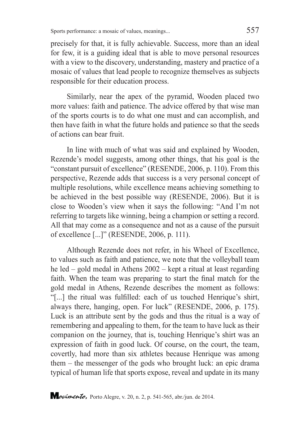precisely for that, it is fully achievable. Success, more than an ideal for few, it is a guiding ideal that is able to move personal resources with a view to the discovery, understanding, mastery and practice of a mosaic of values that lead people to recognize themselves as subjects responsible for their education process.

Similarly, near the apex of the pyramid, Wooden placed two more values: faith and patience. The advice offered by that wise man of the sports courts is to do what one must and can accomplish, and then have faith in what the future holds and patience so that the seeds of actions can bear fruit.

In line with much of what was said and explained by Wooden, Rezende's model suggests, among other things, that his goal is the "constant pursuit of excellence" (RESENDE, 2006, p. 110). From this perspective, Rezende adds that success is a very personal concept of multiple resolutions, while excellence means achieving something to be achieved in the best possible way (RESENDE, 2006). But it is close to Wooden's view when it says the following: "And I'm not referring to targets like winning, being a champion or setting a record. All that may come as a consequence and not as a cause of the pursuit of excellence [...]" (RESENDE, 2006, p. 111).

Although Rezende does not refer, in his Wheel of Excellence, to values such as faith and patience, we note that the volleyball team he led – gold medal in Athens 2002 – kept a ritual at least regarding faith. When the team was preparing to start the final match for the gold medal in Athens, Rezende describes the moment as follows: "[...] the ritual was fulfilled: each of us touched Henrique's shirt, always there, hanging, open. For luck" (RESENDE, 2006, p. 175). Luck is an attribute sent by the gods and thus the ritual is a way of remembering and appealing to them, for the team to have luck as their companion on the journey, that is, touching Henrique's shirt was an expression of faith in good luck. Of course, on the court, the team, covertly, had more than six athletes because Henrique was among them – the messenger of the gods who brought luck: an epic drama typical of human life that sports expose, reveal and update in its many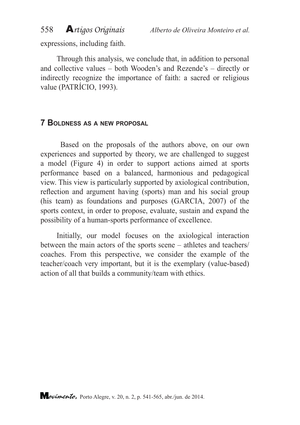expressions, including faith.

Through this analysis, we conclude that, in addition to personal and collective values – both Wooden's and Rezende's – directly or indirectly recognize the importance of faith: a sacred or religious value (PATRÍCIO, 1993).

# **7 Boldness as <sup>a</sup> new proposal**

 Based on the proposals of the authors above, on our own experiences and supported by theory, we are challenged to suggest a model (Figure 4) in order to support actions aimed at sports performance based on a balanced, harmonious and pedagogical view. This view is particularly supported by axiological contribution, reflection and argument having (sports) man and his social group (his team) as foundations and purposes (GARCIA, 2007) of the sports context, in order to propose, evaluate, sustain and expand the possibility of a human-sports performance of excellence.

Initially, our model focuses on the axiological interaction between the main actors of the sports scene – athletes and teachers/ coaches. From this perspective, we consider the example of the teacher/coach very important, but it is the exemplary (value-based) action of all that builds a community/team with ethics.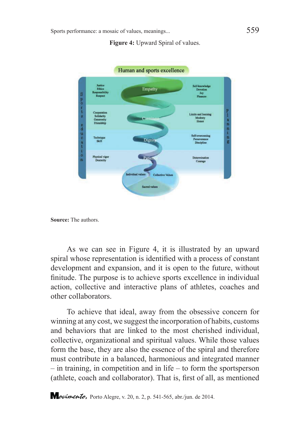**Figure 4:** Upward Spiral of values.



**Source:** The authors.

As we can see in Figure 4, it is illustrated by an upward spiral whose representation is identified with a process of constant development and expansion, and it is open to the future, without finitude. The purpose is to achieve sports excellence in individual action, collective and interactive plans of athletes, coaches and other collaborators.

To achieve that ideal, away from the obsessive concern for winning at any cost, we suggest the incorporation of habits, customs and behaviors that are linked to the most cherished individual, collective, organizational and spiritual values. While those values form the base, they are also the essence of the spiral and therefore must contribute in a balanced, harmonious and integrated manner – in training, in competition and in life – to form the sportsperson (athlete, coach and collaborator). That is, first of all, as mentioned

*<i><u>ovimento*</u>, Porto Alegre, v. 20, n. 2, p. 541-565, abr./jun. de 2014.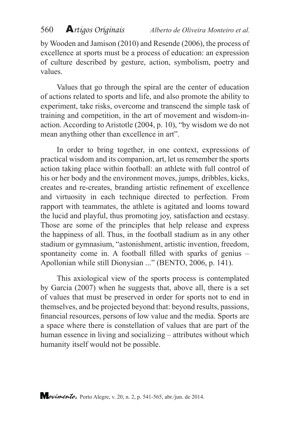by Wooden and Jamison (2010) and Resende (2006), the process of excellence at sports must be a process of education: an expression of culture described by gesture, action, symbolism, poetry and values.

Values that go through the spiral are the center of education of actions related to sports and life, and also promote the ability to experiment, take risks, overcome and transcend the simple task of training and competition, in the art of movement and wisdom-inaction. According to Aristotle (2004, p. 10), "by wisdom we do not mean anything other than excellence in art".

In order to bring together, in one context, expressions of practical wisdom and its companion, art, let us remember the sports action taking place within football: an athlete with full control of his or her body and the environment moves, jumps, dribbles, kicks, creates and re-creates, branding artistic refinement of excellence and virtuosity in each technique directed to perfection. From rapport with teammates, the athlete is agitated and looms toward the lucid and playful, thus promoting joy, satisfaction and ecstasy. Those are some of the principles that help release and express the happiness of all. Thus, in the football stadium as in any other stadium or gymnasium, "astonishment, artistic invention, freedom, spontaneity come in. A football filled with sparks of genius – Apollonian while still Dionysian ..." (BENTO, 2006, p. 141).

This axiological view of the sports process is contemplated by Garcia (2007) when he suggests that, above all, there is a set of values that must be preserved in order for sports not to end in themselves, and be projected beyond that: beyond results, passions, financial resources, persons of low value and the media. Sports are a space where there is constellation of values that are part of the human essence in living and socializing – attributes without which humanity itself would not be possible.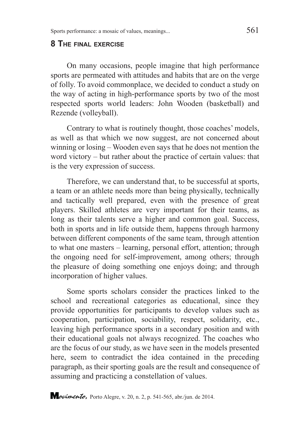#### **8 The final exercise**

On many occasions, people imagine that high performance sports are permeated with attitudes and habits that are on the verge of folly. To avoid commonplace, we decided to conduct a study on the way of acting in high-performance sports by two of the most respected sports world leaders: John Wooden (basketball) and Rezende (volleyball).

Contrary to what is routinely thought, those coaches' models, as well as that which we now suggest, are not concerned about winning or losing – Wooden even says that he does not mention the word victory – but rather about the practice of certain values: that is the very expression of success.

Therefore, we can understand that, to be successful at sports, a team or an athlete needs more than being physically, technically and tactically well prepared, even with the presence of great players. Skilled athletes are very important for their teams, as long as their talents serve a higher and common goal. Success, both in sports and in life outside them, happens through harmony between different components of the same team, through attention to what one masters – learning, personal effort, attention; through the ongoing need for self-improvement, among others; through the pleasure of doing something one enjoys doing; and through incorporation of higher values.

Some sports scholars consider the practices linked to the school and recreational categories as educational, since they provide opportunities for participants to develop values such as cooperation, participation, sociability, respect, solidarity, etc., leaving high performance sports in a secondary position and with their educational goals not always recognized. The coaches who are the focus of our study, as we have seen in the models presented here, seem to contradict the idea contained in the preceding paragraph, as their sporting goals are the result and consequence of assuming and practicing a constellation of values.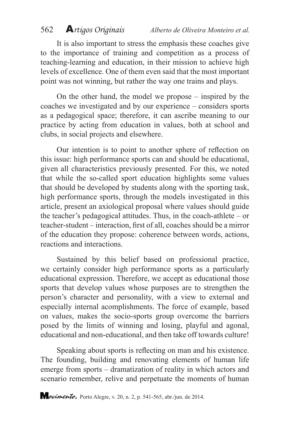It is also important to stress the emphasis these coaches give to the importance of training and competition as a process of teaching-learning and education, in their mission to achieve high levels of excellence. One of them even said that the most important point was not winning, but rather the way one trains and plays.

On the other hand, the model we propose – inspired by the coaches we investigated and by our experience – considers sports as a pedagogical space; therefore, it can ascribe meaning to our practice by acting from education in values, both at school and clubs, in social projects and elsewhere.

Our intention is to point to another sphere of reflection on this issue: high performance sports can and should be educational, given all characteristics previously presented. For this, we noted that while the so-called sport education highlights some values that should be developed by students along with the sporting task, high performance sports, through the models investigated in this article, present an axiological proposal where values should guide the teacher's pedagogical attitudes. Thus, in the coach-athlete – or teacher-student – interaction, first of all, coaches should be a mirror of the education they propose: coherence between words, actions, reactions and interactions.

Sustained by this belief based on professional practice, we certainly consider high performance sports as a particularly educational expression. Therefore, we accept as educational those sports that develop values whose purposes are to strengthen the person's character and personality, with a view to external and especially internal acomplishments. The force of example, based on values, makes the socio-sports group overcome the barriers posed by the limits of winning and losing, playful and agonal, educational and non-educational, and then take off towards culture!

Speaking about sports is reflecting on man and his existence. The founding, building and renovating elements of human life emerge from sports – dramatization of reality in which actors and scenario remember, relive and perpetuate the moments of human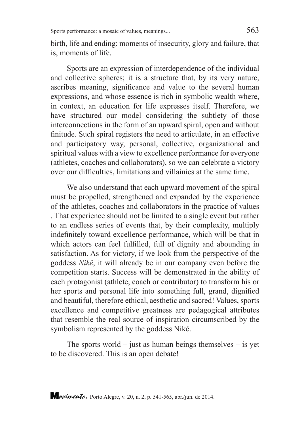birth, life and ending: moments of insecurity, glory and failure, that is, moments of life.

Sports are an expression of interdependence of the individual and collective spheres; it is a structure that, by its very nature, ascribes meaning, significance and value to the several human expressions, and whose essence is rich in symbolic wealth where, in context, an education for life expresses itself. Therefore, we have structured our model considering the subtlety of those interconnections in the form of an upward spiral, open and without finitude. Such spiral registers the need to articulate, in an effective and participatory way, personal, collective, organizational and spiritual values with a view to excellence performance for everyone (athletes, coaches and collaborators), so we can celebrate a victory over our difficulties, limitations and villainies at the same time.

We also understand that each upward movement of the spiral must be propelled, strengthened and expanded by the experience of the athletes, coaches and collaborators in the practice of values . That experience should not be limited to a single event but rather to an endless series of events that, by their complexity, multiply indefinitely toward excellence performance, which will be that in which actors can feel fulfilled, full of dignity and abounding in satisfaction. As for victory, if we look from the perspective of the goddess *Nikê*, it will already be in our company even before the competition starts. Success will be demonstrated in the ability of each protagonist (athlete, coach or contributor) to transform his or her sports and personal life into something full, grand, dignified and beautiful, therefore ethical, aesthetic and sacred! Values, sports excellence and competitive greatness are pedagogical attributes that resemble the real source of inspiration circumscribed by the symbolism represented by the goddess Nikê.

The sports world – just as human beings themselves – is yet to be discovered. This is an open debate!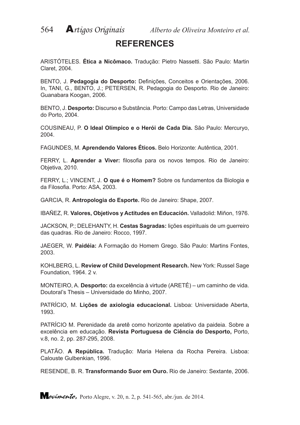# **REFERENCES**

ARISTÓTELES. **Ética a Nicômaco.** Tradução: Pietro Nassetti. São Paulo: Martin Claret, 2004.

BENTO, J. **Pedagogia do Desporto:** Definições, Conceitos e Orientações, 2006. In, TANI, G., BENTO, J.; PETERSEN, R. Pedagogia do Desporto. Rio de Janeiro: Guanabara Koogan, 2006.

BENTO, J. **Desporto:** Discurso e Substância. Porto: Campo das Letras, Universidade do Porto, 2004.

COUSINEAU, P. **O Ideal Olímpico e o Herói de Cada Dia.** São Paulo: Mercuryo, 2004.

FAGUNDES, M. **Aprendendo Valores Éticos.** Belo Horizonte: Autêntica, 2001.

FERRY, L. **Aprender a Viver:** filosofia para os novos tempos. Rio de Janeiro: Objetiva, 2010.

FERRY, L.; VINCENT, J. **O que é o Homem?** Sobre os fundamentos da Biologia e da Filosofia. Porto: ASA, 2003.

GARCIA, R. **Antropologia do Esporte.** Rio de Janeiro: Shape, 2007.

IBAÑEZ, R. **Valores, Objetivos y Actitudes en Educación.** Valladolid: Miñon, 1976.

JACKSON, P.; DELEHANTY, H. **Cestas Sagradas:** lições espirituais de um guerreiro das quadras. Rio de Janeiro: Rocco, 1997.

JAEGER, W. **Paidéia:** A Formação do Homem Grego. São Paulo: Martins Fontes, 2003.

KOHLBERG, L. **Review of Child Development Research.** New York: Russel Sage Foundation, 1964. 2 v.

MONTEIRO, A. **Desporto:** da excelência à virtude (ARETÉ) – um caminho de vida. Doutoral's Thesis – Universidade do Minho, 2007.

PATRÍCIO, M. **Lições de axiologia educacional.** Lisboa: Universidade Aberta, 1993.

PATRÍCIO M. Perenidade da aretê como horizonte apelativo da paideia. Sobre a excelência em educação. **Revista Portuguesa de Ciência do Desporto,** Porto, v.8, no. 2, pp. 287-295, 2008.

PLATÃO. **A República.** Tradução: Maria Helena da Rocha Pereira. Lisboa: Calouste Gulbenkian, 1996.

RESENDE, B. R. **Transformando Suor em Ouro.** Rio de Janeiro: Sextante, 2006.

**Movimento,** Porto Alegre, v. 20, n. 2, p. 541-565, abr./jun. de 2014.